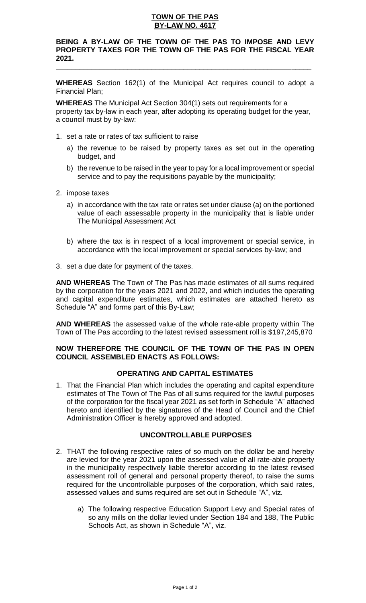### **TOWN OF THE PAS BY-LAW NO. 4617**

# **BEING A BY-LAW OF THE TOWN OF THE PAS TO IMPOSE AND LEVY PROPERTY TAXES FOR THE TOWN OF THE PAS FOR THE FISCAL YEAR 2021.**

**\_\_\_\_\_\_\_\_\_\_\_\_\_\_\_\_\_\_\_\_\_\_\_\_\_\_\_\_\_\_\_\_\_\_\_\_\_\_\_\_\_\_\_\_\_\_\_\_\_\_\_\_\_\_\_\_\_\_\_\_\_\_\_\_**

**WHEREAS** Section 162(1) of the Municipal Act requires council to adopt a Financial Plan;

**WHEREAS** The Municipal Act Section 304(1) sets out requirements for a property tax by-law in each year, after adopting its operating budget for the year, a council must by by-law:

- 1. set a rate or rates of tax sufficient to raise
	- a) the revenue to be raised by property taxes as set out in the operating budget, and
	- b) the revenue to be raised in the year to pay for a local improvement or special service and to pay the requisitions payable by the municipality;
- 2. impose taxes
	- a) in accordance with the tax rate or rates set under clause (a) on the portioned value of each assessable property in the municipality that is liable under The Municipal Assessment Act
	- b) where the tax is in respect of a local improvement or special service, in accordance with the local improvement or special services by-law; and
- 3. set a due date for payment of the taxes.

**AND WHEREAS** The Town of The Pas has made estimates of all sums required by the corporation for the years 2021 and 2022, and which includes the operating and capital expenditure estimates, which estimates are attached hereto as Schedule "A" and forms part of this By-Law;

**AND WHEREAS** the assessed value of the whole rate-able property within The Town of The Pas according to the latest revised assessment roll is \$197,245,870

### **NOW THEREFORE THE COUNCIL OF THE TOWN OF THE PAS IN OPEN COUNCIL ASSEMBLED ENACTS AS FOLLOWS:**

# **OPERATING AND CAPITAL ESTIMATES**

1. That the Financial Plan which includes the operating and capital expenditure estimates of The Town of The Pas of all sums required for the lawful purposes of the corporation for the fiscal year 2021 as set forth in Schedule "A" attached hereto and identified by the signatures of the Head of Council and the Chief Administration Officer is hereby approved and adopted.

## **UNCONTROLLABLE PURPOSES**

- 2. THAT the following respective rates of so much on the dollar be and hereby are levied for the year 2021 upon the assessed value of all rate-able property in the municipality respectively liable therefor according to the latest revised assessment roll of general and personal property thereof, to raise the sums required for the uncontrollable purposes of the corporation, which said rates, assessed values and sums required are set out in Schedule "A", viz.
	- a) The following respective Education Support Levy and Special rates of so any mills on the dollar levied under Section 184 and 188, The Public Schools Act, as shown in Schedule "A", viz.